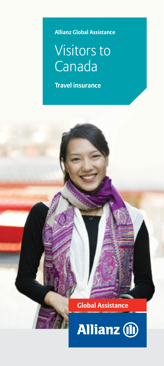**Allianz Global Assistance**

# Visitors to Canada

**Travel insurance**

### **Global Assistance**

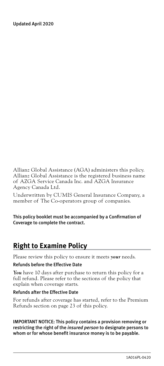Updated April 2020

Allianz Global Assistance (AGA) administers this policy. Allianz Global Assistance is the registered business name of AZGA Service Canada Inc. and AZGA Insurance Agency Canada Ltd.

Underwritten by CUMIS General Insurance Company, a member of The Co-operators group of companies.

This policy booklet must be accompanied by a Confirmation of Coverage to complete the contract.

### **Right to Examine Policy**

Please review this policy to ensure it meets *your* needs.

#### Refunds before the Effective Date

You have 10 days after purchase to return this policy for a full refund. Please refer to the sections of the policy that explain when coverage starts.

#### Refunds after the Effective Date

For refunds after coverage has started, refer to the Premium Refunds section on [page 23](#page-24-0) of this policy.

IMPORTANT NOTICE: This policy contains a provision removing or restricting the right of the *insured person* to designate persons to whom or for whose benefit insurance money is to be payable.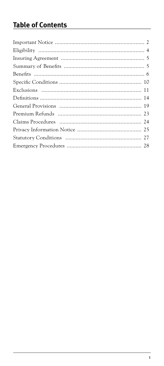### **Table of Contents**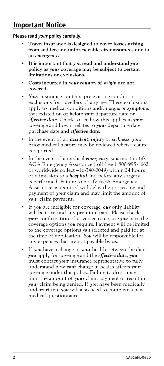### <span id="page-3-0"></span>**Important Notice**

Please read *your* policy carefully.

- **Travel insurance is designed to cover losses arising from sudden and unforeseeable circumstances due to an** *emergency***.**
- **• It is important that** *you* **read and understand** *your* **policy as** *your* **coverage may be subject to certain limitations or exclusions.**
- **Costs incurred in** *your country of origin* **are not covered.**
- Your insurance contains pre-existing condition exclusions for travellers of any age. These exclusions apply to medical conditions and/or *signs or symptoms* that existed on or before *your* departure date or *effective date*. Check to see how this applies in *your* coverage and how it relates to *your* departure date, purchase date and *effective date*.
- In the event of an *accident*, *injury* or *sickness*, *your* prior medical history may be reviewed when a claim is reported.
- In the event of a medical *emergency*, *you* must notify AGA Emergency Assistance (toll-free 1-800-995-1662 or worldwide collect 416-340-0049) within 24 hours of admission to a *hospital* and before any surgery is performed. Failure to notify AGA Emergency Assistance as required will delay the processing and payment of *your* claim and may limit the amount of *your* claim payment.
- If *you* are ineligible for coverage, *our* only liability will be to refund any premium paid. Please check *your* confirmation of coverage to ensure *you* have the coverage options *you* require. Payment will be limited to the coverage options *you* selected and paid for at the time of application. *You* will be responsible for any expenses that are not payable by *us*.
- If *you* have a change in *your* health between the date *you* apply for coverage and the *effective date*, *you* must contact *your* insurance representative to fully understand how *your* change in health affects *your* coverage under this policy. Failure to do so may limit the amount of *your* claim payment or result in *your* claim being denied. If *you* have been medically underwritten, *you* will also need to complete a new medical questionnaire.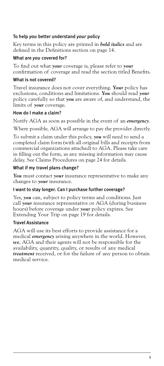#### To help *you* better understand *your* policy

Key terms in this policy are printed in *bold italics* and are defined in the Definitions section on [page 14.](#page-15-1)

#### What are *you* covered for?

To find out what *your* coverage is, please refer to *your* confirmation of coverage and read the section titled Benefits.

#### What is not covered?

Travel insurance does not cover everything. *Your* policy has exclusions, conditions and limitations. *You* should read *your* policy carefully so that *you* are aware of, and understand, the limits of *your* coverage.

#### How do I make a claim?

Notify AGA as soon as possible in the event of an *emergency*.

Where possible, AGA will arrange to pay the provider directly.

To submit a claim under this policy, *you* will need to send a completed claim form (with all original bills and receipts from commercial organizations attached) to AGA. Please take care in filling out the form, as any missing information may cause delay. See Claims Procedures on [page 24](#page-25-1) for details.

#### What if my travel plans change?

*You* must contact *your* insurance representative to make any changes to *your* insurance.

#### I want to stay longer. Can I purchase further coverage?

Yes, *you* can, subject to policy terms and conditions. Just call *your* insurance representative or AGA (during business hours) before coverage under *your* policy expires. See Extending Your Trip on [page 19](#page-20-1) for details.

#### Travel Assistance

AGA will use its best efforts to provide assistance for a medical *emergency* arising anywhere in the world. However, *we*, AGA and their agents will not be responsible for the availability, quantity, quality, or results of any medical *treatment* received, or for the failure of any person to obtain medical service.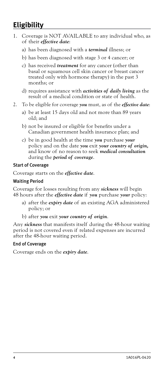### <span id="page-5-1"></span><span id="page-5-0"></span>**Eligibility**

- 1. Coverage is NOT AVAILABLE to any individual who, as of their *effective date*:
	- a) has been diagnosed with a *terminal* illness; or
	- b) has been diagnosed with stage 3 or 4 cancer; or
	- c) has received *treatment* for any cancer (other than basal or squamous cell skin cancer or breast cancer treated only with hormone therapy) in the past 3 months; or
	- d) requires assistance with *activities of daily living* as the result of a medical condition or state of health.
- 2. To be eligible for coverage *you* must, as of the *effective date*:
	- a) be at least 15 days old and not more than 89 years old; and
	- b) not be insured or eligible for benefits under a Canadian government health insurance plan; and
	- c) be in good health at the time *you* purchase *your*  policy and on the date *you* exit *your country of origin,*  and know of no reason to seek *medical consultation*  during the *period of coverage*.

#### Start of Coverage

Coverage starts on the *effective date*.

#### Waiting Period

Coverage for losses resulting from any *sickness* will begin 48 hours after the *effective date* if *you* purchase *your* policy:

- a) after the *expiry date* of an existing AGA administered policy; or
- b) after *you* exit *your country of origin*.

Any *sickness* that manifests itself during the 48-hour waiting period is not covered even if related expenses are incurred after the 48-hour waiting period.

#### End of Coverage

Coverage ends on the *expiry date*.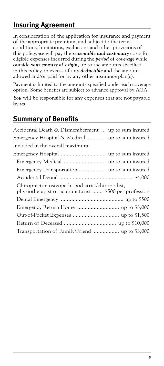### <span id="page-6-0"></span>**Insuring Agreement**

In consideration of the application for insurance and payment of the appropriate premium, and subject to the terms, conditions, limitations, exclusions and other provisions of this policy, *we* will pay the *reasonable and customary* costs for eligible expenses incurred during the *period of coverage* while outside *your country of origin*, up to the amounts specified in this policy, in excess of any *deductible* and the amount allowed and/or paid for by any other insurance plan(s).

Payment is limited to the amounts specified under each coverage option. Some benefits are subject to advance approval by AGA.

You will be responsible for any expenses that are not payable by *us*.

### **Summary of Benefits**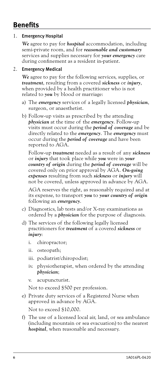### <span id="page-7-0"></span>**Benefits**

#### 1. Emergency Hospital

*We* agree to pay for *hospital* accommodation, including semi-private room, and for *reasonable and customary*  services and supplies necessary for *your emergency* care during confinement as a resident in-patient.

#### 2. Emergency Medical

*We* agree to pay for the following services, supplies, or *treatment*, resulting from a covered *sickness* or *injury*, when provided by a health practitioner who is not related to *you* by blood or marriage:

- a) The *emergency* services of a legally licensed *physician*, surgeon, or anaesthetist.
- b) Follow-up visits as prescribed by the attending *physician* at the time of the *emergency*. Follow-up visits must occur during the *period of coverage* and be directly related to the *emergency*. The *emergency* must occur during the *period of coverage* and have been reported to AGA.

Follow-up *treatment* needed as a result of any *sickness* or *injury* that took place while *you* were in *your country of origin* during the *period of coverage* will be covered only on prior approval by AGA. *On-going expenses* resulting from such *sickness* or *injury* will not be covered, unless approved in advance by AGA.

AGA reserves the right, as reasonably required and at its expense, to transport *you* to *your country of origin* following an *emergency*.

- c) Diagnostics, lab tests and/or X-ray examinations as ordered by a *physician* for the purpose of diagnosis.
- d) The services of the following legally licensed practitioners for *treatment* of a covered *sickness* or *injury*:
	- i. chiropractor;
	- ii. osteopath;
	- iii. podiatrist/chiropodist;
	- iv. physiotherapist, when ordered by the attending *physician*;
	- v. acupuncturist.

Not to exceed \$500 per profession.

e) Private duty services of a Registered Nurse when approved in advance by AGA.

Not to exceed \$10,000.

f) The use of a licensed local air, land, or sea ambulance (including mountain or sea evacuation) to the nearest *hospital*, when reasonable and necessary.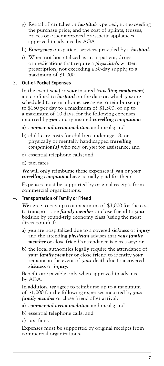- g) Rental of crutches or *hospital*-type bed, not exceeding the purchase price; and the cost of splints, trusses, braces or other approved prosthetic appliances approved in advance by AGA.
- h) *Emergency* out-patient services provided by a *hospital*.
- i) When not hospitalized as an in-patient, drugs or medications that require a *physician's* written prescription, not exceeding a 30-day supply, to a maximum of \$1,000.

#### 3. Out-of-Pocket Expenses

In the event *you* (or *your* insured *travelling companion*) are confined to *hospital* on the date on which *you* are scheduled to return home, *we* agree to reimburse up to \$150 per day to a maximum of \$1,500, or up to a maximum of 10 days, for the following expenses incurred by *you* or any insured *travelling companion*:

- a) *commercial accommodation* and meals; and
- b) child care costs for children under age 18, or physically or mentally handicapped *travelling companion(s)* who rely on *you* for assistance; and
- c) essential telephone calls; and
- d) taxi fares.

*We* will only reimburse these expenses if *you* or *your travelling companion* have actually paid for them.

Expenses must be supported by original receipts from commercial organizations.

#### 4. Transportation of Family or Friend

*We* agree to pay up to a maximum of \$3,000 for the cost to transport one *family member* or close friend to *your*  bedside by round-trip economy class (using the most direct route) if:

- a) *you* are hospitalized due to a covered *sickness* or *injury*  and the attending *physician* advises that *your family member* or close friend's attendance is necessary; or
- b) the local authorities legally require the attendance of *your family member* or close friend to identify *your* remains in the event of *your* death due to a covered *sickness* or *injury*.

Benefits are payable only when approved in advance by AGA.

In addition, *we* agree to reimburse up to a maximum of \$1,000 for the following expenses incurred by *your family member* or close friend after arrival:

- a) *commercial accommodation* and meals; and
- b) essential telephone calls; and
- c) taxi fares.

Expenses must be supported by original receipts from commercial organizations.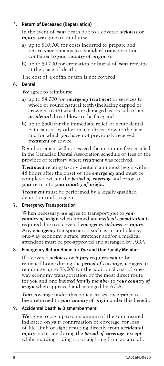#### 5. Return of Deceased (Repatriation)

In the event of *your* death due to a covered *sickness* or *injury*, *we* agree to reimburse:

- a) up to \$10,000 for costs incurred to prepare and return *your* remains in a standard transportation container to *your country of origin*; or
- b) up to \$4,000 for cremation or burial of *your* remains at the place of death.

The cost of a coffin or urn is not covered.

#### 6. Dental

*We* agree to reimburse:

- a) up to \$4,000 for *emergency treatment* or services to whole or sound natural teeth (including capped or crowned teeth) which are damaged as a result of an *accidental* direct blow to the face; and
- b) up to \$500 for the immediate relief of acute dental pain caused by other than a direct blow to the face and for which *you* have not previously received *treatment* or advice.

Reimbursement will not exceed the minimum fee specified in the Canadian Dental Association schedule of fees of the province or territory where *treatment* was received.

*Treatment* relating to any dental claim must begin within 48 hours after the onset of the *emergency* and must be completed within the *period of coverage* and prior to *your* return to *your country of origin*.

*Treatment* must be performed by a legally qualified dentist or oral surgeon.

#### 7. Emergency Transportation

When necessary, *we* agree to transport *you* to *your country of origin* when immediate *medical consultation* is required due to a covered *emergency sickness* or *injury*. Any *emergency* transportation such as air ambulance, one-way economy airfare, stretcher and/or a medical attendant must be pre-approved and arranged by AGA.

#### 8. Emergency Return Home for *You* and One Family Member

If a covered *sickness* or *injury* requires *you* to be returned home during the *period of coverage*, *we* agree to reimburse up to \$3,000 for the additional cost of oneway economy transportation by the most direct route for *you* and one *insured family member* to *your country of origin* when approved and arranged by AGA.

*Your* coverage under this policy ceases once *you* have been returned to *your country of origin* under this benefit.

#### 9. Accidental Death & Dismemberment

*We* agree to pay up to a maximum of the sum insured indicated on *your* confirmation of coverage, for loss of life, limb or sight resulting directly from *accidental injury* occurring during the *period of coverage*, except while boarding, riding in, or alighting from an aircraft.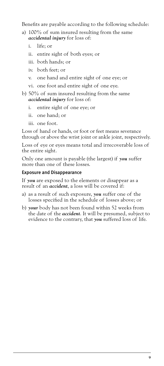Benefits are payable according to the following schedule:

- a) 100% of sum insured resulting from the same *accidental injury* for loss of:
	- i. life; or
	- ii. entire sight of both eyes; or
	- iii. both hands; or
	- iv. both feet; or
	- v. one hand and entire sight of one eye; or
	- vi. one foot and entire sight of one eye.
- b) 50% of sum insured resulting from the same *accidental injury* for loss of:
	- i. entire sight of one eye; or
	- ii. one hand; or
	- iii. one foot.

Loss of hand or hands, or foot or feet means severance through or above the wrist joint or ankle joint, respectively.

Loss of eye or eyes means total and irrecoverable loss of the entire sight.

Only one amount is payable (the largest) if *you* suffer more than one of these losses.

#### Exposure and Disappearance

If *you* are exposed to the elements or disappear as a result of an *accident*, a loss will be covered if:

- a) as a result of such exposure, *you* suffer one of the losses specified in the schedule of losses above; or
- b) *your* body has not been found within 52 weeks from the date of the *accident*. It will be presumed, subject to evidence to the contrary, that *you* suffered loss of life.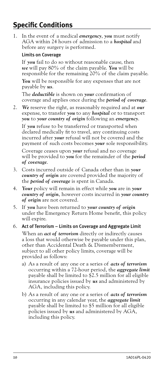### <span id="page-11-0"></span>**Specific Conditions**

1. In the event of a medical *emergency*, *you* must notify AGA within 24 hours of admission to a *hospital* and before any surgery is performed.

#### Limits on Coverage

If *you* fail to do so without reasonable cause, then *we* will pay 80% of the claim payable. *You* will be responsible for the remaining 20% of the claim payable.

*You* will be responsible for any expenses that are not payable by *us*.

The *deductible* is shown on *your* confirmation of coverage and applies once during the *period of coverage*.

2. *We* reserve the right, as reasonably required and at *our* expense, to transfer *you* to any *hospital* or to transport *you* to *your country of origin* following an *emergency*.

If *you* refuse to be transferred or transported when declared medically fit to travel, any continuing costs incurred after *your* refusal will not be covered and the payment of such costs becomes *your* sole responsibility.

Coverage ceases upon *your* refusal and no coverage will be provided to *you* for the remainder of the *period of coverage*.

- 3. Costs incurred outside of Canada other than in *your country of origin* are covered provided the majority of the *period of coverage* is spent in Canada.
- 4. *Your* policy will remain in effect while *you* are in *your country of origin*, however costs incurred in *your country of origin* are not covered.
- 5. If *you* have been returned to *your country of origin* under the Emergency Return Home benefit, this policy will expire.

#### 6. Act of Terrorism – Limits on Coverage and Aggregate Limit

When an *act of terrorism* directly or indirectly causes a loss that would otherwise be payable under this plan, other than Accidental Death & Dismemberment, subject to all other policy limits, coverage will be provided as follows:

- a) As a result of any one or a series of *acts of terrorism*  occurring within a 72-hour period, the *aggregate limit*  payable shall be limited to \$2.5 million for all eligible insurance policies issued by *us* and administered by AGA, including this policy.
- b) As a result of any one or a series of *acts of terrorism*  occurring in any calendar year, the *aggregate limit*  payable shall be limited to \$5 million for all eligible policies issued by *us* and administered by AGA, including this policy.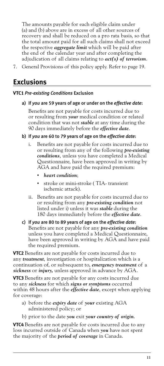<span id="page-12-0"></span>The amounts payable for each eligible claim under (a) and (b) above are in excess of all other sources of recovery and shall be reduced on a pro rata basis, so that the total amount paid for all such claims shall not exceed the respective *aggregate limit* which will be paid after the end of the calendar year and after completing the adjudication of all claims relating to *act(s) of terrorism*.

7. General Provisions of this policy apply. Refer to [page 19](#page-20-2).

### **Exclusions**

#### **VTC1** *Pre-existing Conditions* Exclusion

#### a) If *you* are 59 years of age or under on the *effective date*:

Benefits are not payable for costs incurred due to or resulting from *your* medical condition or related condition that was not *stable* at any time during the 90 days immediately before the *effective date*.

- b) If *you* are 60 to 79 years of age on the *effective date*:
	- i. Benefits are not payable for costs incurred due to or resulting from any of the following *pre-existing conditions*, unless you have completed a Medical Questionnaire, have been approved in writing by AGA and have paid the required premium:
		- *heart condition*;
		- stroke or mini-stroke ( TIA- transient ischemic attack).
	- ii. Benefits are not payable for costs incurred due to or resulting from any *pre-existing condition* not listed under i) unless it was *stable* during the 180 days immediately before the *effective date*.
- c) If *you* are 80 to 89 years of age on the *effective date*: Benefits are not payable for any *pre-existing condition* unless you have completed a Medical Questionnaire, have been approved in writing by AGA and have paid the required premium.

**VTC2** Benefits are not payable for costs incurred due to any *treatment*, investigation or hospitalization which is a continuation of, or subsequent to, *emergency treatment* of a *sickness* or *injury,* unless approved in advance by AGA.

**VTC3** Benefits are not payable for any costs incurred due to any *sickness* for which *signs or symptoms* occurred within 48 hours after the *effective date*, except when applying for coverage:

- a) before the *expiry date* of *your* existing AGA administered policy; or
- b) prior to the date *you* exit *your country of origin*.

**VTC4** Benefits are not payable for costs incurred due to any loss incurred outside of Canada when *you* have not spent the majority of the *period of coverage* in Canada.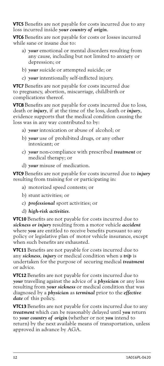**VTC5** Benefits are not payable for costs incurred due to any loss incurred inside *your country of origin*.

**VTC6** Benefits are not payable for costs or losses incurred while sane or insane due to:

- a) *your* emotional or mental disorders resulting from any cause, including but not limited to anxiety or depression; or
- b) *your* suicide or attempted suicide; or
- c) *your* intentionally self-inflicted injury.

**VTC7** Benefits are not payable for costs incurred due to pregnancy, abortion, miscarriage, childbirth or complications thereof.

**VTC8** Benefits are not payable for costs incurred due to loss, death or *injury*, if at the time of the loss, death or *injury*, evidence supports that the medical condition causing the loss was in any way contributed to by:

- a) *your* intoxication or abuse of alcohol; or
- b) *your* use of prohibited drugs, or any other intoxicant; or
- c) *your* non-compliance with prescribed *treatment* or medical therapy; or
- d) *your* misuse of medication.

**VTC9** Benefits are not payable for costs incurred due to *injury*  resulting from training for or participating in:

- a) motorized speed contests; or
- b) stunt activities; or
- c) *professional* sport activities; or
- d) *high-risk activities*.

**VTC10** Benefits are not payable for costs incurred due to *sickness or injury* resulting from a motor vehicle *accident*  where *you* are entitled to receive benefits pursuant to any policy or legislative plan of motor vehicle insurance, except when such benefits are exhausted.

**VTC11** Benefits are not payable for costs incurred due to any *sickness*, *injury* or medical condition when a *trip* is undertaken for the purpose of securing medical *treatment*  or advice.

**VTC12** Benefits are not payable for costs incurred due to *your* travelling against the advice of a *physician* or any loss resulting from *your sickness* or medical condition that was diagnosed by a *physician* as *terminal* prior to the *effective date* of this policy.

**VTC13** Benefits are not payable for costs incurred due to any *treatment* which can be reasonably delayed until *you* return to *your country of origin* (whether or not *you* intend to return) by the next available means of transportation, unless approved in advance by AGA.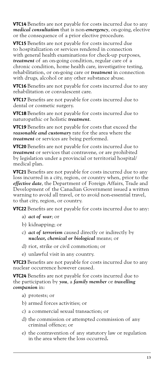**VTC14** Benefits are not payable for costs incurred due to any *medical consultation* that is non-*emergency*, on-going, elective or the consequence of a prior elective procedure.

**VTC15** Benefits are not payable for costs incurred due to hospitalization or services rendered in connection with general health examinations for check-up purposes, *treatment* of an on-going condition, regular care of a chronic condition, home health care, investigative testing, rehabilitation, or on-going care or *treatment* in connection with drugs, alcohol or any other substance abuse.

**VTC16** Benefits are not payable for costs incurred due to any rehabilitation or convalescent care.

**VTC17** Benefits are not payable for costs incurred due to dental or cosmetic surgery.

**VTC18** Benefits are not payable for costs incurred due to naturopathic or holistic *treatment*.

**VTC19** Benefits are not payable for costs that exceed the *reasonable and customary* rate for the area where the *treatment* or services are being performed.

**VTC20** Benefits are not payable for costs incurred due to *treatment* or services that contravene, or are prohibited by legislation under a provincial or territorial hospital/ medical plan.

**VTC21** Benefits are not payable for costs incurred due to any loss incurred in a city, region, or country when, prior to the *effective date*, the Department of Foreign Affairs, Trade and Development of the Canadian Government issued a written warning to avoid all travel, or to avoid non-essential travel, to that city, region, or country.

**VTC22** Benefits are not payable for costs incurred due to any:

- a) *act of war*; or
- b) kidnapping; or
- c) *act of terrorism* caused directly or indirectly by *nuclear, chemical or biological* means; or
- d) riot, strike or civil commotion; or
- e) unlawful visit in any country.

**VTC23** Benefits are not payable for costs incurred due to any nuclear occurrence however caused.

**VTC24** Benefits are not payable for costs incurred due to the participation by *you*, a *family member* or *travelling companion* in:

- a) protests; or
- b) armed forces activities; or
- c) a commercial sexual transaction; or
- d) the commission or attempted commission of any criminal offence; or
- e) the contravention of any statutory law or regulation in the area where the loss occurred*.*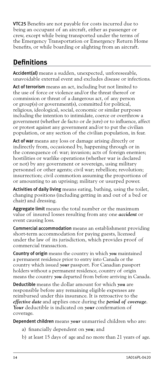<span id="page-15-0"></span>VTC25 Benefits are not payable for costs incurred due to being an occupant of an aircraft, either as passenger or crew, except while being transported under the terms of the Emergency Transportation or Emergency Return Home benefits, or while boarding or alighting from an aircraft.

### <span id="page-15-1"></span>**Definitions**

Accident(al) means a sudden, unexpected, unforeseeable, unavoidable external event and excludes disease or infections.

Act of terrorism means an act, including but not limited to the use of force or violence and/or the threat thereof or commission or threat of a dangerous act, of any person or group(s) or government(s), committed for political, religious, ideological, social, economic or similar purposes including the intention to intimidate, coerce or overthrow a government (whether de facto or de jure) or to influence, affect or protest against any government and/or to put the civilian population, or any section of the civilian population, in fear.

Act of war means any loss or damage arising directly or indirectly from, occasioned by, happening through or in the consequence of: war; invasion; acts of foreign enemies; hostilities or warlike operations (whether war is declared or not) by any government or sovereign, using military personnel or other agents; civil war; rebellion; revolution; insurrection; civil commotion assuming the proportions of or amounting to an uprising; military or usurped power.

Activities of daily living means eating, bathing, using the toilet, changing positions (including getting in and out of a bed or chair) and dressing.

Aggregate limit means the total number or the maximum value of insured losses resulting from any one *accident* or event causing loss.

Commercial accommodation means an establishment providing short-term accommodation for paying guests, licensed under the law of its jurisdiction, which provides proof of commercial transaction.

Country of origin means the country in which *you* maintained a permanent residence prior to entry into Canada or the country which issued *your* passport. For Canadian passport holders without a permanent residence, country of origin means the country *you* departed from before arriving in Canada.

Deductible means the dollar amount for which *you* are responsible before any remaining eligible expenses are reimbursed under this insurance. It is retroactive to the *effective date* and applies once during the *period of coverage*. *Your* deductible is indicated on *your* confirmation of coverage.

Dependent children means *your* unmarried children who are:

- a) financially dependent on *you*; and
- b) at least 15 days of age and no more than 21 years of age.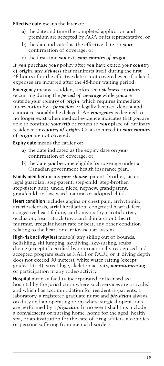#### Effective date means the later of:

- a) the date and time the completed application and premium are accepted by AGA or its representative; or
- b) the date indicated as the effective date on *your*  confirmation of coverage; or
- c) the first time *you* exit *your country of origin*.

If *you* purchase *your* policy after *you* have exited *your country of origin*, any *sickness* that manifests itself during the first 48 hours after the effective date is not covered even if related expenses are incurred after the 48-hour waiting period.

Emergency means a sudden, unforeseen *sickness* or *injury*  occurring during the *period of coverage* while *you* are outside *your country of origin*, which requires immediate intervention by a *physician* or legally licensed dentist and cannot reasonably be delayed. An *emergency* is deemed to no longer exist when medical evidence indicates that *you* are able to continue *your trip* or return to *your* place of ordinary residence or *country of origin.* Costs incurred in *your country of origin* are not covered.

Expiry date means the earlier of:

- a) the date indicated as the expiry date on *your*  confirmation of coverage; or
- b) the date *you* become eligible for coverage under a Canadian government health insurance plan.

Family member means *your spouse*, parent, brother, sister, legal guardian, step-parent, step-child, step-brother, step-sister, aunt, uncle, niece, nephew, grandparent, grandchild, in-law, ward, natural or adopted child.

Heart condition includes angina or chest pain, arrhythmia, arteriosclerosis, atrial fibrillation, congenital heart defect, congestive heart failure, cardiomyopathy, carotid artery occlusion, heart attack (myocardial infarction), heart murmur, irregular heart rate or beat, any other condition relating to the heart or cardiovascular system.

High-risk activity(ies) mean(s) any skiing out of bounds, heliskiing, ski jumping, skydiving, sky-surfing, scuba diving (except if certified by internationally recognized and accepted program such as NAUI or PADI, or if diving depth does not exceed 30 meters), white water rafting (except grades 1 to 4), street luge, skeleton activity, *mountaineering*, or participation in any rodeo activity.

Hospital means a facility incorporated or licensed as a hospital by the jurisdiction where such services are provided and which has accommodation for resident in-patients, a laboratory, a registered graduate nurse and *physician* always on duty and an operating room where surgical operations are performed by a *physician*. In no event shall this include a convalescent or nursing home, home for the aged, health spa, or an institution for the care of drug addicts, alcoholics or persons suffering from mental disorders.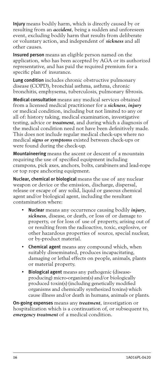Injury means bodily harm, which is directly caused by or resulting from an *accident*, being a sudden and unforeseen event, excluding bodily harm that results from deliberate or voluntary action, and independent of *sickness* and all other causes.

Insured person means an eligible person named on the application, who has been accepted by AGA or its authorized representative, and has paid the required premium for a specific plan of insurance.

Lung condition includes chronic obstructive pulmonary disease (COPD), bronchial asthma, asthma, chronic bronchitis, emphysema, tuberculosis, pulmonary fibrosis.

Medical consultation means any medical services obtained from a licensed medical practitioner for a *sickness*, *injury*  or medical condition, including but not limited to any or all of: history taking, medical examination, investigative testing, advice or *treatment*, and during which a diagnosis of the medical condition need not have been definitively made. This does not include regular medical check-ups where no medical *signs or symptoms* existed between check-ups or were found during the check-up.

Mountaineering means the ascent or descent of a mountain requiring the use of specified equipment including crampons, pick axes, anchors, bolts, carabiners and lead-rope or top rope anchoring equipment.

Nuclear, chemical or biological means the use of any nuclear weapon or device or the emission, discharge, dispersal, release or escape of any solid, liquid or gaseous chemical agent and/or biological agent, including the resultant contamination where:

- Nuclear means any occurrence causing bodily *injury*, *sickness*, disease, or death, or loss of or damage to property, or for loss of use of property, arising out of or resulting from the radioactive, toxic, explosive, or other hazardous properties of source, special nuclear, or by-product material.
- Chemical agent means any compound which, when suitably disseminated, produces incapacitating, damaging or lethal effects on people, animals, plants or material property.
- Biological agent means any pathogenic (diseaseproducing) micro-organism(s) and/or biologically produced toxin(s) (including genetically modified organisms and chemically synthesized toxins) which cause illness and/or death in humans, animals or plants.

On-going expenses means any *treatment*, investigation or hospitalization which is a continuation of, or subsequent to, *emergency treatment* of a medical condition.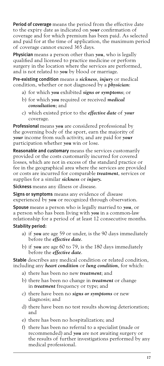Period of coverage means the period from the effective date to the expiry date as indicated on *your* confirmation of coverage and for which premium has been paid. As selected and paid for at the time of application, the maximum period of coverage cannot exceed 365 days.

Physician means a person other than *you*, who is legally qualified and licensed to practice medicine or perform surgery in the location where the services are performed, and is not related to *you* by blood or marriage.

Pre-existing condition means a *sickness*, *injury* or medical condition, whether or not diagnosed by a *physician*:

- a) for which *you* exhibited *signs or symptoms*; or
- b) for which *you* required or received *medical consultation*; and
- c) which existed prior to the *effective date* of *your* coverage.

Professional means *you* are considered professional by the governing body of the sport, earn the majority of *your* income from such activity, and are paid for *your* participation whether *you* win or lose.

Reasonable and customary means the services customarily provided or the costs customarily incurred for covered losses, which are not in excess of the standard practice or fee in the geographical area where the services are provided or costs are incurred for comparable *treatment*, services or supplies for a similar *sickness* or *injury.*

Sickness means any illness or disease.

**Signs or symptoms** means any evidence of disease experienced by *you* or recognized through observation.

Spouse means a person who is legally married to *you*, or a person who has been living with *you* in a common-law relationship for a period of at least 12 consecutive months.

#### Stability period:

- a) if *you* are age 59 or under, is the 90 days immediately before the *effective date*.
- b) if *you* are age 60 to 79, is the 180 days immediately before the *effective date*.

Stable describes any medical condition or related condition, including any *heart condition* or *lung condition*, for which:

- a) there has been no new *treatment*; and
- b) there has been no change in *treatment* or change in *treatment* frequency or type; and
- c) there have been no *signs or symptoms* or new diagnosis; and
- d) there have been no test results showing deterioration; and
- e) there has been no hospitalization; and
- f) there has been no referral to a specialist (made or recommended) and *you* are not awaiting surgery or the results of further investigations performed by any medical professional.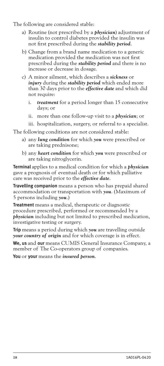The following are considered stable:

- a) Routine (not prescribed by a *physician*) adjustment of insulin to control diabetes provided the insulin was not first prescribed during the *stability period*.
- b) Change from a brand name medication to a generic medication provided the medication was not first prescribed during the *stability period* and there is no increase or decrease in dosage.
- c) A minor ailment, which describes a *sickness* or *injury* during the *stability period* which ended more than 30 days prior to the *effective date* and which did not require:
	- i. *treatment* for a period longer than 15 consecutive days; or
	- ii. more than one follow-up visit to a *physician*; or
	- iii. hospitalization, surgery, or referral to a specialist.

The following conditions are not considered stable:

- a) any *lung condition* for which *you* were prescribed or are taking prednisone;
- b) any *heart condition* for which *you* were prescribed or are taking nitroglycerin.

Terminal applies to a medical condition for which a *physician*  gave a prognosis of eventual death or for which palliative care was received prior to the *effective date*.

Travelling companion means a person who has prepaid shared accommodation or transportation with *you*. (Maximum of 5 persons including *you*.)

Treatment means a medical, therapeutic or diagnostic procedure prescribed, performed or recommended by a *physician* including but not limited to prescribed medication, investigative testing or surgery.

Trip means a period during which *you* are travelling outside *your country of origin* and for which coverage is in effect.

We, us and our means CUMIS General Insurance Company, a member of The Co-operators group of companies.

You or your means the *insured person*.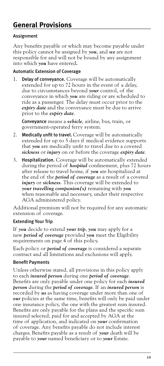#### <span id="page-20-2"></span><span id="page-20-0"></span>Assignment

Any benefits payable or which may become payable under this policy cannot be assigned by *you*, and *we* are not responsible for and will not be bound by any assignment into which *you* have entered*.*

#### Automatic Extension of Coverage

1. Delay of conveyance. Coverage will be automatically extended for up to 72 hours in the event of a delay, due to circumstances beyond *your* control, of the conveyance in which *you* are riding or are scheduled to ride as a passenger. The delay must occur prior to the *expiry date* and the conveyance must be due to arrive prior to the *expiry date*.

Conveyance means a *vehicle*, airline, bus, train, or government-operated ferry system.

- 2. Medically unfit to travel. Coverage will be automatically extended for up to 5 days if medical evidence supports that *you* are medically unfit to travel due to a covered *sickness* or *injury* on or before the coverage *expiry date*.
- 3. Hospitalization. Coverage will be automatically extended during the period of *hospital* confinement, plus 72 hours after release to travel home, if *you* are hospitalized at the end of the *period of coverage* as a result of a covered *injury* or *sickness*. This coverage will be extended to *your travelling companion(s)* remaining with *you*  when reasonable and necessary, under their respective AGA administered policy.

Additional premium will not be required for any automatic extension of coverage.

#### <span id="page-20-1"></span>Extending Your Trip

If *you* decide to extend *your trip*, *you* may apply for a new *period of coverage* provided *you* meet the Eligibility requirements on [page 4](#page-5-1) of this policy.

Each policy or *period of coverage* is considered a separate contract and all limitations and exclusions will apply.

#### Benefit Payments

Unless otherwise stated, all provisions in this policy apply to each *insured person* during one *period of coverage*. Benefits are only payable under one policy for each *insured person* during the *period of coverage*. If an *insured person* is recorded by *us* as having coverage under more than one of *our* policies at the same time, benefits will only be paid under one insurance policy, the one with the greatest sum insured. Benefits are only payable for the plans and the specific sum insured selected, paid for and accepted by AGA at the time of application, and indicated on *your* confirmation of coverage. Any benefits payable do not include interest charges. Benefits payable as a result of *your* death will be payable to *your* named beneficiary or to *your* Estate.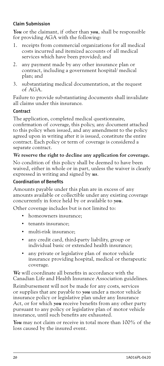#### Claim Submission

*You* or the claimant, if other than *you*, shall be responsible for providing AGA with the following:

- receipts from commercial organizations for all medical costs incurred and itemized accounts of all medical services which have been provided; and
- 2. any payment made by any other insurance plan or contract, including a government hospital/ medical plan; and
- 3. substantiating medical documentation, at the request of AGA.

Failure to provide substantiating documents shall invalidate all claims under this insurance.

#### **Contract**

The application, completed medical questionnaire, confirmation of coverage, this policy, any document attached to this policy when issued, and any amendment to the policy agreed upon in writing after it is issued, constitute the entire contract. Each policy or term of coverage is considered a separate contract.

#### *We* **reserve the right to decline any application for coverage.**

No condition of this policy shall be deemed to have been waived, either in whole or in part, unless the waiver is clearly expressed in writing and signed by *us*.

#### Coordination of Benefits

Amounts payable under this plan are in excess of any amounts available or collectible under any existing coverage concurrently in force held by or available to *you*.

Other coverage includes but is not limited to:

- homeowners insurance:
- tenants insurance;
- multi-risk insurance;
- any credit card, third-party liability, group or individual basic or extended health insurance;
- any private or legislative plan of motor vehicle insurance providing hospital, medical or therapeutic coverage.

*We* will coordinate all benefits in accordance with the Canadian Life and Health Insurance Association guidelines.

Reimbursement will not be made for any costs, services or supplies that are payable to *you* under a motor vehicle insurance policy or legislative plan under any Insurance Act, or for which *you* receive benefits from any other party pursuant to any policy or legislative plan of motor vehicle insurance, until such benefits are exhausted.

*You* may not claim or receive in total more than 100% of the loss caused by the insured event.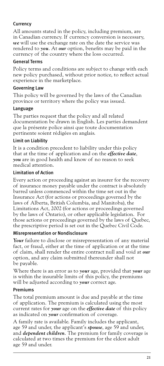#### **Currency**

All amounts stated in the policy, including premium, are in Canadian currency. If currency conversion is necessary, *we* will use the exchange rate on the date the service was rendered to *you*. At *our* option, benefits may be paid in the currency of the country where the loss occurred.

#### General Terms

Policy terms and conditions are subject to change with each new policy purchased, without prior notice, to reflect actual experience in the marketplace.

#### Governing Law

This policy will be governed by the laws of the Canadian province or territory where the policy was issued.

#### Language

The parties request that the policy and all related documentation be drawn in English. Les parties demandent que la présente police ainsi que toute documentation pertinente soient rédigées en anglais.

#### Limit on Liability

It is a condition precedent to liability under this policy that at the time of application and on the *effective date*, *you* are in good health and know of no reason to seek medical attention.

#### Limitation of Action

Every action or proceeding against an insurer for the recovery of insurance money payable under the contract is absolutely barred unless commenced within the time set out in the Insurance Act (for actions or proceedings governed by the laws of Alberta, British Columbia, and Manitoba), the Limitations Act, 2002 (for actions or proceedings governed by the laws of Ontario), or other applicable legislation. For those actions or proceedings governed by the laws of Quebec, the prescriptive period is set out in the Quebec Civil Code.

#### Misrepresentation or Nondisclosure

*Your* failure to disclose or misrepresentation of any material fact, or fraud, either at the time of application or at the time of claim, shall render the entire contract null and void at *our* option, and any claim submitted thereunder shall not be payable.

Where there is an error as to *your* age, provided that *your* age is within the insurable limits of this policy, the premiums will be adjusted according to *your* correct age.

#### Premiums

The total premium amount is due and payable at the time of application. The premium is calculated using the most current rates for *your* age on the *effective date* of this policy as indicated on *your* confirmation of coverage.

A family rate is available. Family includes the applicant, age 59 and under, the applicant's *spouse*, age 59 and under, and *dependent children*. The premium for family coverage is calculated at two times the premium for the eldest adult age 59 and under.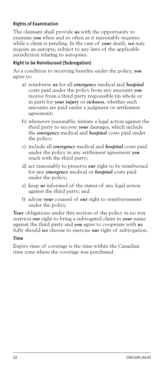#### Rights of Examination

The claimant shall provide *us* with the opportunity to examine *you* when and so often as it reasonably requires while a claim is pending. In the case of *your* death, *we* may require an autopsy, subject to any laws of the applicable jurisdiction relating to autopsies.

#### Right to be Reimbursed (Subrogation)

As a condition to receiving benefits under the policy, *you*  agree to:

- a) reimburse *us* for all *emergency* medical and *hospital*  costs paid under the policy from any amounts *you*  receive from a third party responsible (in whole or in part) for *your injury* or *sickness*, whether such amounts are paid under a judgment or settlement agreement;
- b) whenever reasonable, initiate a legal action against the third party to recover *your* damages, which include the *emergency* medical and *hospital* costs paid under the policy;
- c) include all *emergency* medical and *hospital* costs paid under the policy in any settlement agreement *you*  reach with the third party;
- d) act reasonably to preserve *our* right to be reimbursed for any *emergency* medical or *hospital* costs paid under the policy;
- e) keep *us* informed of the status of any legal action against the third party; and
- f) advise *your* counsel of *our* right to reimbursement under the policy.

Your obligations under this section of the policy in no way restricts *our* right to bring a subrogated claim in *your* name against the third party and *you* agree to cooperate with *us*  fully should *we* choose to exercise *our* right of subrogation.

#### Time

Expiry time of coverage is the time within the Canadian time zone where the coverage was purchased.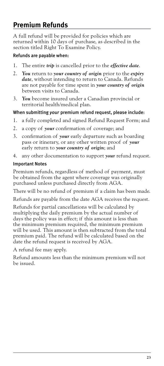### <span id="page-24-1"></span><span id="page-24-0"></span>**Premium Refunds**

A full refund will be provided for policies which are returned within 10 days of purchase, as described in the section titled Right To Examine Policy.

#### Refunds are payable when:

- 1. The entire *trip* is cancelled prior to the *effective date*.
- 2. *You* return to *your country of origin* prior to the *expiry date*, without intending to return to Canada. Refunds are not payable for time spent in *your country of origin*  between visits to Canada.
- 3. *You* become insured under a Canadian provincial or territorial health/medical plan.

#### When submitting *your* premium refund request, please include:

- 1. a fully completed and signed Refund Request Form; and
- 2. a copy of *your* confirmation of coverage; and
- 3. confirmation of *your* early departure such as boarding pass or itinerary, or any other written proof of *your*  early return to *your country of origin*; and
- 4. any other documentation to support *your* refund request.

#### Important Notes

Premium refunds, regardless of method of payment, must be obtained from the agent where coverage was originally purchased unless purchased directly from AGA.

There will be no refund of premium if a claim has been made.

Refunds are payable from the date AGA receives the request.

Refunds for partial cancellations will be calculated by multiplying the daily premium by the actual number of days the policy was in effect; if this amount is less than the minimum premium required, the minimum premium will be used. This amount is then subtracted from the total premium paid. The refund will be calculated based on the date the refund request is received by AGA.

A refund fee may apply.

Refund amounts less than the minimum premium will not be issued.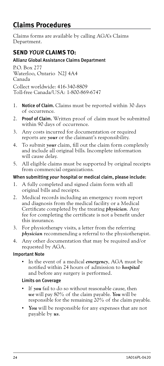### <span id="page-25-1"></span><span id="page-25-0"></span>**Claims Procedures**

Claims forms are available by calling AGA's Claims Department.

### **SEND** *YOUR* **CLAIMS TO:**

#### Allianz Global Assistance Claims Department

P.O. Box 277 Waterloo, Ontario N2J 4A4 Canada Collect worldwide: 416-340-8809 Toll-free Canada/USA: 1-800-869-6747

- 1. Notice of Claim. Claims must be reported within 30 days of occurrence.
- 2. Proof of Claim. Written proof of claim must be submitted within 90 days of occurrence.
- 3. Any costs incurred for documentation or required reports are *your* or the claimant's responsibility.
- 4. To submit *your* claim, fill out the claim form completely and include all original bills. Incomplete information will cause delay.
- 5. All eligible claims must be supported by original receipts from commercial organizations.

#### When submitting *your* hospital or medical claim, please include:

- 1. A fully completed and signed claim form with all original bills and receipts.
- 2. Medical records including an emergency room report and diagnosis from the medical facility or a Medical Certificate completed by the treating *physician*. Any fee for completing the certificate is not a benefit under this insurance.
- 3. For physiotherapy visits, a letter from the referring *physician* recommending a referral to the physiotherapist.
- 4. Any other documentation that may be required and/or requested by AGA.

#### Important Note

• In the event of a medical *emergency*, AGA must be notified within 24 hours of admission to *hospital* and before any surgery is performed.

#### Limits on Coverage

- If you fail to do so without reasonable cause, then *we* will pay 80% of the claim payable. *You* will be responsible for the remaining 20% of the claim payable.
- You will be responsible for any expenses that are not payable by *us*.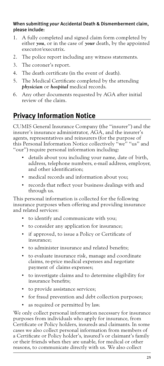#### <span id="page-26-0"></span>When submitting *your* Accidental Death & Dismemberment claim, please include:

- 1. A fully completed and signed claim form completed by either *you*, or in the case of *your* death, by the appointed executor/executrix.
- 2. The police report including any witness statements.
- 3. The coroner's report.
- 4. The death certificate (in the event of death).
- 5. The Medical Certificate completed by the attending *physician* or *hospital* medical records.
- 6. Any other documents requested by AGA after initial review of the claim.

### **Privacy Information Notice**

CUMIS General Insurance Company (the "insurer") and the insurer's insurance administrator, AGA, and the insurer's agents, representatives and reinsurers (for the purpose of this Personal Information Notice collectively "we" "us" and "our") require personal information including:

- details about you including your name, date of birth, address, telephone numbers, e-mail address, employer, and other identification;
- medical records and information about you;
- records that reflect your business dealings with and through us.

This personal information is collected for the following insurance purposes when offering and providing insurance and related services:

- to identify and communicate with you;
- to consider any application for insurance;
- if approved, to issue a Policy or Certificate of insurance;
- to administer insurance and related benefits;
- to evaluate insurance risk, manage and coordinate claims, re-price medical expenses and negotiate payment of claims expenses;
- to investigate claims and to determine eligibility for insurance benefits;
- to provide assistance services;
- for fraud prevention and debt collection purposes;
- as required or permitted by law.

We only collect personal information necessary for insurance purposes from individuals who apply for insurance, from Certificate or Policy holders, insureds and claimants. In some cases we also collect personal information from members of a Certificate or Policy holder's, insured's or claimant's family or their friends when they are unable, for medical or other reasons, to communicate directly with us. We also collect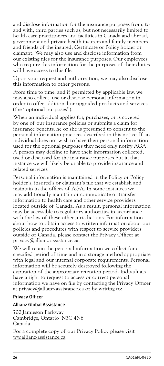and disclose information for the insurance purposes from, to and with, third parties such as, but not necessarily limited to, health care practitioners and facilities in Canada and abroad, government and private health insurers and family members and friends of the insured, Certificate or Policy holder or claimant. We may also use and disclose information from our existing files for the insurance purposes. Our employees who require this information for the purposes of their duties will have access to this file.

Upon your request and authorization, we may also disclose this information to other persons.

From time to time, and if permitted by applicable law, we may also collect, use or disclose personal information in order to offer additional or upgraded products and services (the "optional purposes").

When an individual applies for, purchases, or is covered by one of our insurance policies or submits a claim for insurance benefits, he or she is presumed to consent to the personal information practices described in this notice. If an individual does not wish to have their personal information used for the optional purposes they need only notify AGA. A person may decline to have their information collected, used or disclosed for the insurance purposes but in that instance we will likely be unable to provide insurance and related services.

Personal information is maintained in the Policy or Policy holder's, insured's or claimant's file that we establish and maintain in the offices of AGA. In some instances we may additionally maintain or communicate or transfer information to health care and other service providers located outside of Canada. As a result, personal information may be accessible to regulatory authorities in accordance with the law of these other jurisdictions. For information about how to obtain access to written information about our policies and procedures with respect to service providers outside of Canada, please contact the Privacy Officer at [privacy@allianz-assistance.ca](mailto:privacy@allianz-assistance.ca).

We will retain the personal information we collect for a specified period of time and in a storage method appropriate with legal and our internal corporate requirements. Personal information will be securely destroyed following the expiration of the appropriate retention period. Individuals have a right to request to access or correct personal information we have on file by contacting the Privacy Officer at privacy@allianz-assistance.ca or by writing to:

#### Privacy Officer

#### Allianz Global Assistance

700 Jamieson Parkway Cambridge, Ontario N3C 4N6 Canada

For a complete copy of our Privacy Policy please visit ww.allianz-assistance.ca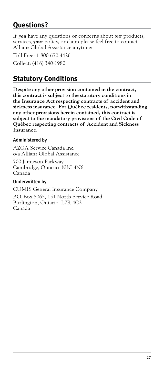### <span id="page-28-0"></span>**Questions?**

If *you* have any questions or concerns about *our* products, services, *your* policy, or claim please feel free to contact Allianz Global Assistance anytime:

Toll Free: 1-800-670-4426

Collect: (416) 340-1980

### **Statutory Conditions**

**Despite any other provision contained in the contract, this contract is subject to the statutory conditions in the Insurance Act respecting contracts of accident and sickness insurance. For Québec residents, notwithstanding any other provisions herein contained, this contract is subject to the mandatory provisions of the Civil Code of Québec respecting contracts of Accident and Sickness Insurance.** 

#### Administered by

AZGA Service Canada Inc. o/a Allianz Global Assistance

700 Jamieson Parkway Cambridge, Ontario N3C 4N6 Canada

#### Underwritten by

CUMIS General Insurance Company

P.O. Box 5065, 151 North Service Road Burlington, Ontario L7R 4C2 Canada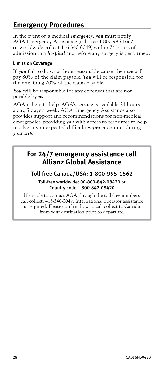### <span id="page-29-0"></span>**Emergency Procedures**

In the event of a medical *emergency*, *you* must notify AGA Emergency Assistance (toll-free 1-800-995-1662 or worldwide collect 416-340-0049) within 24 hours of admission to a *hospital* and before any surgery is performed.

#### Limits on Coverage

If *you* fail to do so without reasonable cause, then *we* will pay 80% of the claim payable. *You* will be responsible for the remaining 20% of the claim payable.

*You* will be responsible for any expenses that are not payable by *us*.

AGA is here to help. AGA's service is available 24 hours a day, 7 days a week. AGA Emergency Assistance also provides support and recommendations for non-medical emergencies, providing *you* with access to resources to help resolve any unexpected difficulties *you* encounter during *your trip*.

### **For 24/7 emergency assistance call Allianz Global Assistance**

#### Toll-free Canada/USA: 1-800-995-1662

#### Toll-free worldwide: 00-800-842-08420 or Country code + 800-842-08420

If unable to contact AGA through the toll-free numbers call collect: 416-340-0049. International operator assistance is required. Please confirm how to call collect to Canada from *your* destination prior to departure.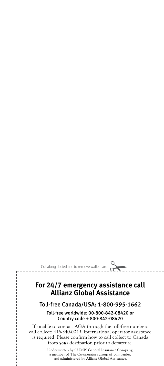Cut along dotted line to remove wallet card!

i ļ ï Ï

> $\frac{1}{1}$ Ï ו<br>ו I  $\frac{1}{1}$  $\frac{1}{1}$

> |<br>|<br>|<br>|<br>| ו<br>ו

### **For 24/7 emergency assistance call Allianz Global Assistance**

#### Toll-free Canada/USA: 1-800-995-1662

Toll-free worldwide: 00-800-842-08420 or Country code + 800-842-08420

If unable to contact AGA through the toll-free numbers call collect: 416-340-0049. International operator assistance is required. Please confirm how to call collect to Canada from *your* destination prior to departure.

> Underwritten by CUMIS General Insurance Company, a member of The Co-operators group of companies, and administered by Allianz Global Assistance.